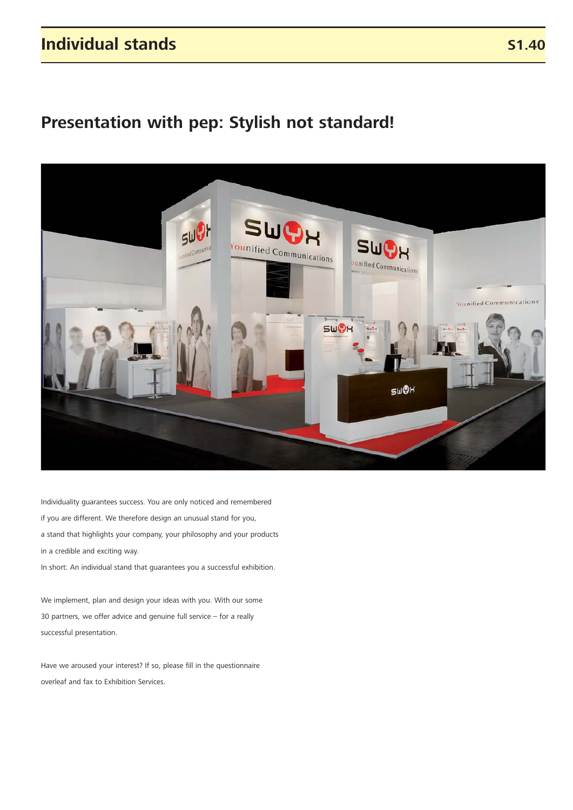### **Individual stands**

# **Presentation with pep: Stylish not standard!**



Individuality guarantees success. You are only noticed and remembered if you are different. We therefore design an unusual stand for you, a stand that highlights your company, your philosophy and your products in a credible and exciting way.

In short: An individual stand that guarantees you a successful exhibition.

We implement, plan and design your ideas with you. With our some 30 partners, we offer advice and genuine full service – for a really successful presentation.

Have we aroused your interest? If so, please fill in the questionnaire overleaf and fax to Exhibition Services.